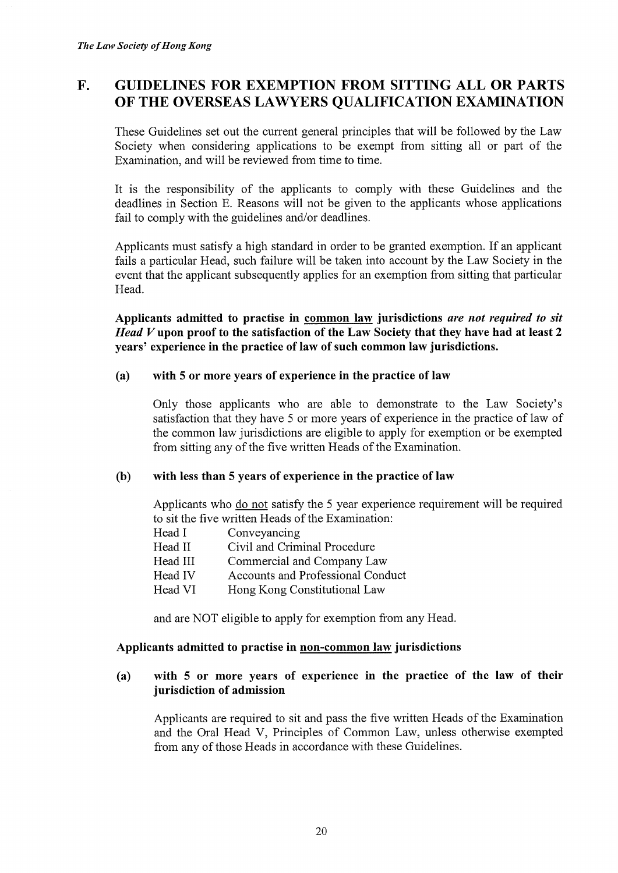# F. GUIDELINES FOR EXEMPTION FROM SITTING ALL OR PARTS OF THE OVERSEAS LAWYERS QUALIFICATION EXAMINATION

These Guidelines set out the current general principles that will be followed by the Law Society when considering applications to be exempt from sitting all or part of the Examination, and will be reviewed from time to time.

It is the responsibility of the applicants to comply with these Guidelines and the deadlines in Section E. Reasons will not be given to the applicants whose applications fail to comply with the guidelines and/or deadlines.

Applicants must satisfy a high standard in order to be granted exemption. If an applicant fails a particular Head, such failure will be taken into account by the Law Society in the event that the applicant subsequently applies for an exemption from sitting that particular Head.

Applicants admitted to practise in common law jurisdictions are not required to sit  $Head V$  upon proof to the satisfaction of the Law Society that they have had at least 2 years' experience in the practice of law of such common law jurisdictions.

#### (a) with 5 or more years of experience in the practice of law

Only those applicants who are able to demonstrate to the Law Society's satisfaction that they have 5 or more years of experience in the practice of law of the common law jurisdictions are eligible to apply for exemption or be exempted from sitting any of the five written Heads of the Examination.

#### (b) with less than 5 years of experience in the practice of law

Applicants who do not satisfy the 5 year experience requirement will be required to sit the five written Heads of the Examination:

- 
- Head I Conveyancing<br>Head II Civil and Crim Civil and Criminal Procedure
- Head III Commercial and Company Law
- Head IV Accounts and Professional Conduct
- Head VI Hong Kong Constitutional Law

and are NOT eligible to apply for exemption from any Head.

#### Applicants admitted to practise in non-common law, jurisdictions

## (a) with 5 or more years of experience in the practice of the law of their jurisdiction of admission

Applicants are required to sit and pass the five written Heads of the Examination and the Oral Head V, Principles of Common Law, unless otherwise exempted from any of those Heads in accordance with these Guidelines.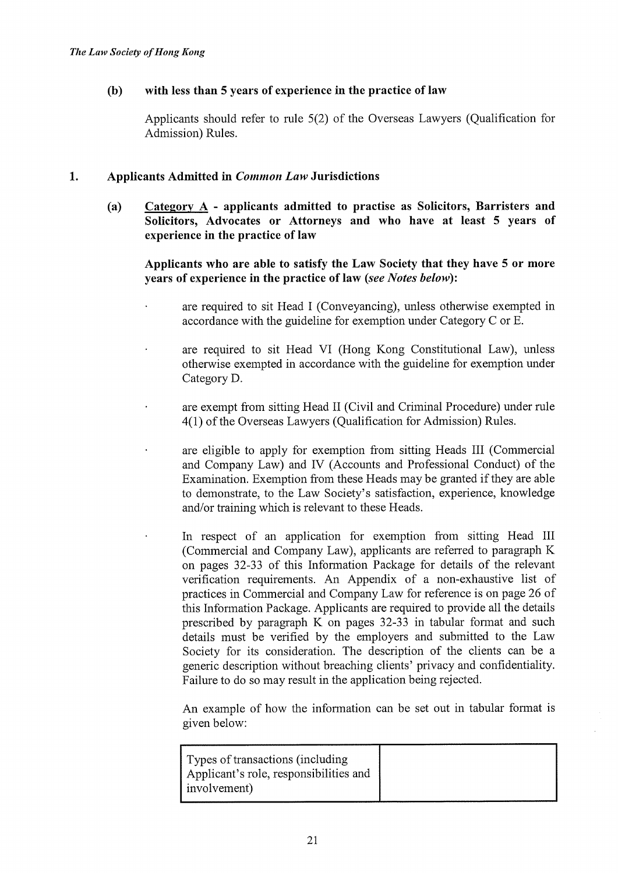## (b) with less than 5 years of experience in the practice of law

Applicants should refer to rule 5(2) of the Overseas Lawyers (Qualification for Admission) Rules.

## 1. Applicants Admitted in *Common Law* Jurisdictions

(a) Category A - applicants admitted to practise as Solicitors, Barristers and Solicitors, Advocates or Attorneys and who have at least 5 years of experience in the practice of law

Applicants who are able to satisfy the Law Society that they have 5 or more years of experience in the practice of law (see Notes below):

- are required to sit Head I (Conveyancing), unless otherwise exempted in accordance with the guideline for exemption under Category C or E.
- are required to sit Head VI (Hong Kong Constitutional Law), unless otherwise exempted in accordance with the guideline for exemption under Category D.
- are exempt from sitting Head II (Civil and Criminal Procedure) under rule 4(1) of the Overseas Lawyers (Qualification for Admission) Rules.
- are eligible to apply for exemption from sitting Heads III (Commercial and Company Law) and IV (Accounts and Professional Conduct) of the Examination. Exemption from these Heads may be granted if they are able to demonstrate, to the Law Society's satisfaction, experience, knowledge and/or training which is relevant to these Heads.
	- In respect of an application for exemption from sitting Head III (Commercial and Company Law), applicants are referred to paragraph K on pages 32-33 of this Information Package for details of the relevant verification requirements. An Appendix of a non-exhaustive list of practices in Commercial and Company Law for reference is on page 26 of this Information Package. Applicants are required to provide all the details prescribed by paragraph K on pages 32-33 in tabular format and such details must be verified by the employers and submitted to the Law Society for its consideration. The description of the clients can be a generic description without breaching clients' privacy and confidentiality. Failure to do so may result in the application being rejected.

An example of how the information can be set out in tabular format is given below:

| Types of transactions (including<br>Applicant's role, responsibilities and<br>involvement) |  |
|--------------------------------------------------------------------------------------------|--|
|                                                                                            |  |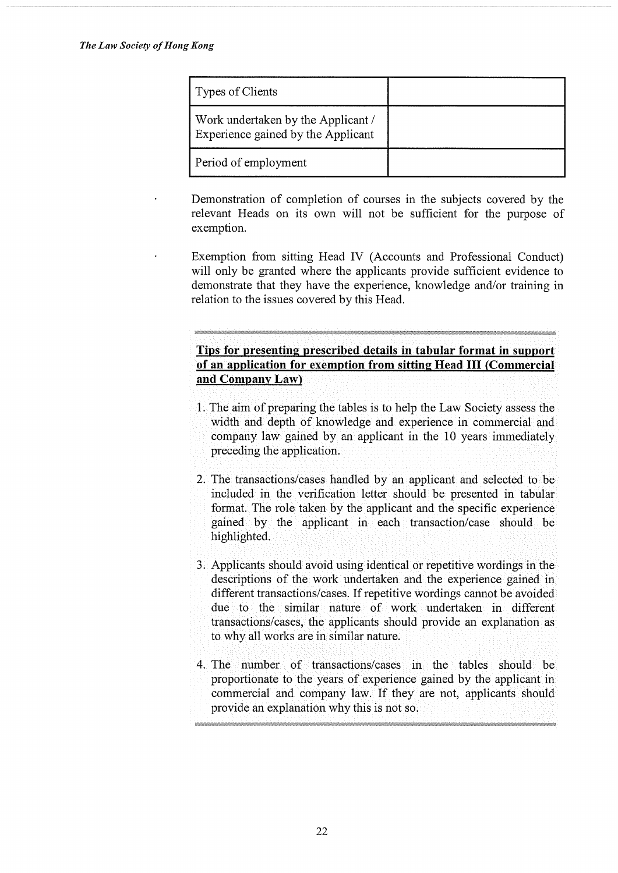| Types of Clients                                                         |  |
|--------------------------------------------------------------------------|--|
| Work undertaken by the Applicant /<br>Experience gained by the Applicant |  |
| Period of employment                                                     |  |

Demonstration of completion of courses in the subjects covered by the relevant Heads on its own will not be sufficient for the purpose of exemption.

Exemption from sitting Head IV (Accounts and Professional Conduct) will only be granted where the applicants provide sufficient evidence to demonstrate that they have the experience, knowledge and/or training in relation to the issues covered by this Head.

## Tips for presenting prescribed details in tabular format in support of an application for exemption from sitting Head III (Commercial and Company Law)

- 1. The aim of preparing the tables is to help the Law Society assess the width and depth of knowledge and experience in commercial and company law gained by an applicant in the  $10$  years immediately preceding the application.
- 2. The transactions/cases handled by an applicant and selected to be included in the verification letter should be presented in tabular format. The role taken by the applicant and the specific experience gained by the applicant in each transaction/case should be highlighted.
- 3. Applicants should avoid using identical or repetitive wordings in the descriptions of the work undertaken and the experience gained in different transactions/cases. If repetitive wordings cannot be avoided due to the similar nature of work undertaken in different transactions/cases, the applicants should provide an explanation as to why all works are in similar nature.
- 4. The number of transactions/cases in the tables should be proportionate to the years of experience gained by the applicant in commercial and company law. If they are not, applicants should provide an explanation why this is not so.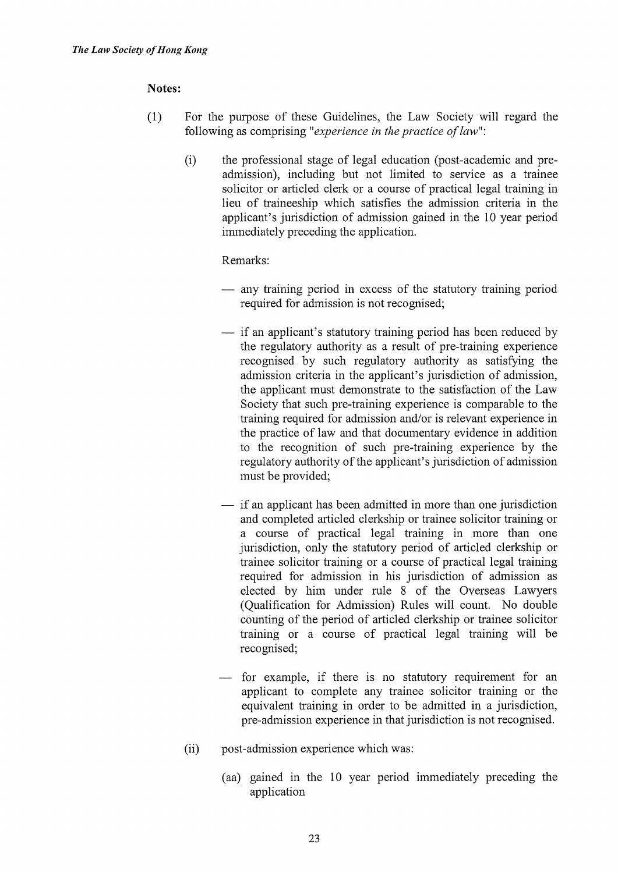## Notes:

- (1) For the purpose of these Guidelines, the Law Society will regard the following as comprising "experience in the practice of law":
	- (i) the professional stage of legal education (post-academic and preadmission), including but not limited to service as a trainee solicitor or articled clerk or a course of practical legal training in lieu of traineeship which satisfies the admission criteria in the applicant's jurisdiction of admission gained in the 10 year period immediately preceding the application.

#### Remarks:

- any training period in excess of the statutory training period required for admission is not recognised;
- $\frac{1}{\sqrt{1}}$  if an applicant's statutory training period has been reduced by the regulatory authority as a result of pre-training experience recognised by such regulatory authority as satisfying the admission criteria in the applicant's jurisdiction of admission, the applicant must demonstrate to the satisfaction of the Law Society that such pre-training experience is comparable to the training required for admission and/or is relevant experience in the practice of law and that documentary evidence in addition to the recognition of such pre-training experience by the regulatory authority of the applicant's jurisdiction of admission must be provided;
- $\frac{1}{\sqrt{1}}$  if an applicant has been admitted in more than one jurisdiction and completed articled clerkship or trainee solicitor training or a course of practical legal training in more than one jurisdiction, only the statutory period of articled clerkship or trainee solicitor training or a course of practical legal training required for admission in his jurisdiction of admission as elected by him under rule 8 of the Overseas Lawyers (Qualification for Admission) Rules will count. No double counting of the period of articled clerkship or trainee solicitor training or a course of practical legal training will be recognised;
- for example, if there is no statutory requirement for an applicant to complete any trainee solicitor training or the equivalent training in order to be admitted in a jurisdiction, pre-admission experience in that jurisdiction is not recognised.
- (ii) post-admission experience which was:
	- (aa) gained in the 10 year period immediately preceding the application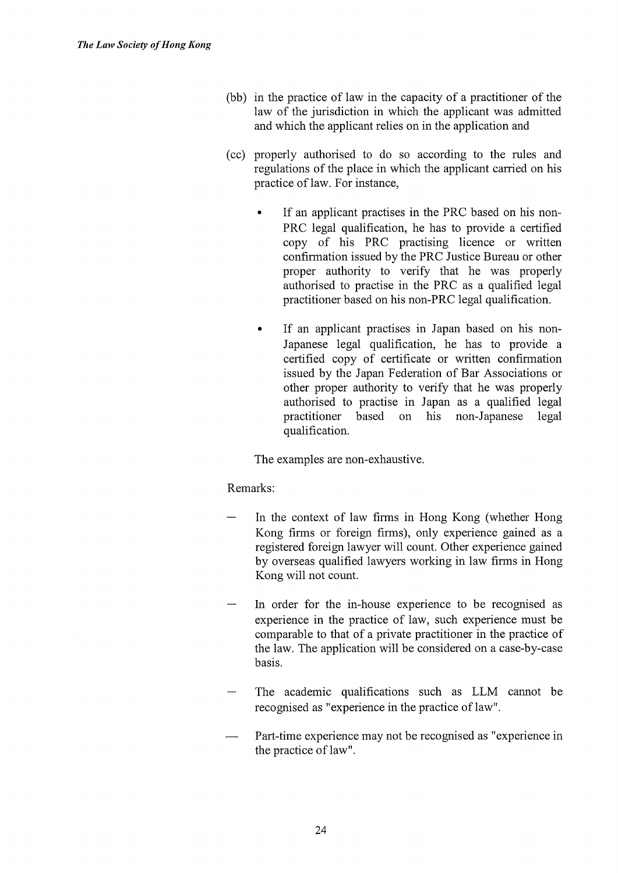- (bb) in the practice of law in the capacity of a practitioner of the law of the jurisdiction in which the applicant was admitted and which the applicant relies on in the application and
- (cc) properly authorised to do so according to the rules and regulations of the place in which the applicant carried on his practice of law. For instance,
	- If an applicant practises in the PRC based on his non-PRC legal qualification, he has to provide a certified copy of his PRC practising licence or written confirmation issued by the PRC Justice Bureau or other proper authority to verify that he was properly authorised to practise in the PRC as a qualified legal practitioner based on his non-PRC legal qualification.
	- If an applicant practises in Japan based on his non-Japanese legal qualification, he has to provide a certified copy of certificate or written confirmation issued by the Japan Federation of Bar Associations or other proper authority to verify that he was properly authorised to practise in Japan as a qualified legal practitioner based on his non-Japanese legal qualification.

The examples are non-exhaustive.

## Remarks:

- In the context of law firms in Hong Kong (whether Hong Kong firms or foreign firms), only experience gained as a registered foreign lawyer will count. Other experience gained by overseas qualified lawyers working in law firms in Hong Kong will not count.
- In order for the in-house experience to be recognised as experience in the practice of law, such experience must be comparable to that of a private practitioner in the practice of the law. The application will be considered on a case-by-case basis.
- The academic qualifications such as LLM cannot be recognised as "experience in the practice of law".
- Part-time experience may not be recognised as "experience in the practice of law".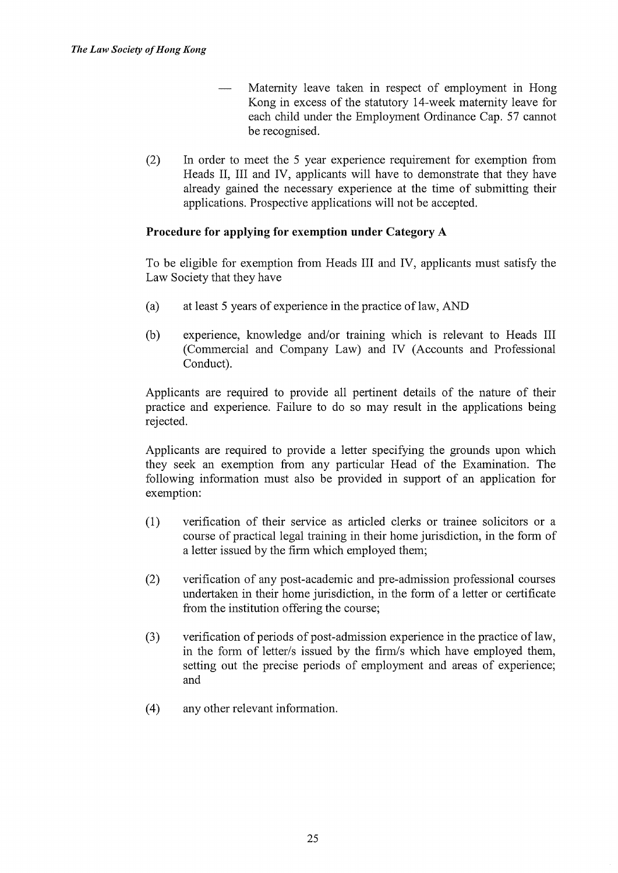Maternity leave taken in respect of employment in Hong Kong in excess of the statutory 14-week maternity leave for each child under the Employment Ordinance Cap. 57 cannot be recognised.

(2) In order to meet the 5 year experience requirement for exemption from Heads II, III and IV, applicants will have to demonstrate that they have already gained the necessary experience at the time of submitting their applications. Prospective applications will not be accepted.

## Procedure for applying for exemption under Category A

To be eligible for exemption from Heads III and IV, applicants must satisfy the Law Society that they have

- (a) at least 5 years of experience in the practice of law, AND
- (b) experience, knowledge and/or training which is relevant to Heads III (Commercial and Company Law) and IV (Accounts and Professional Conduct).

Applicants are required to provide all pertinent details of the nature of their practice and experience. Failure to do so may result in the applications being rejected.

Applicants are required to provide a letter specifying the grounds upon which they seek an exemption from any particular Head of the Examination. The following information must also be provided in support of an application for exemption:

- (1) verification of their service as articled clerks or trainee solicitors or a course of practical legal training in their home jurisdiction, in the form of a letter issued by the finn which employed them;
- (2) verification of any post-academic and pre-admission professional courses undertaken in their home jurisdiction, in the form of a letter or certificate from the institution offering the course;
- (3) verification of periods of post-admission experience in the practice of law, in the form of letter/s issued by the finn/s which have employed them, setting out the precise periods of employment and areas of experience; and
- (4) any other relevant information.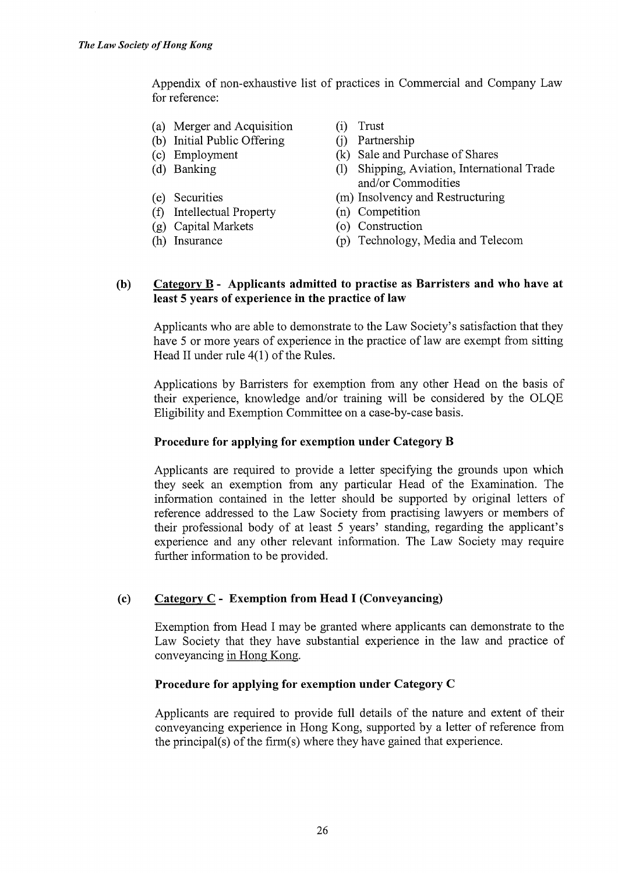Appendix of non-exhaustive list of practices in Commercial and Company Law for reference:

- (a) Merger and Acquisition (i) Trust
- (b) Initial Public Offering (j) Partnership
- 
- 
- 
- (f) Intellectual Property (n) Competition
- (g) Capital Markets (o) Construction
- 
- 
- 
- (c) Employment (k) Sale and Purchase of Shares
- (d) Banking (1) Shipping, Aviation, International Trade and/or Commodities
- (e) Securities (m) Insolvency and Restructuring
	-
	-
- (h) Insurance (p) Technology, Media and Telecom

## (b) Category B - Applicants admitted to practise as Barristers and who have at least 5 years of experience in the practice of law

Applicants who are able to demonstrate to the Law Society's satisfaction that they have 5 or more years of experience in the practice of law are exempt from sitting Head II under rule 4(1) of the Rules.

Applications by Barristers for exemption from any other Head on the basis of their experience, knowledge and/or training will be considered by the OLQE Eligibility and Exemption Committee on a case-by-case basis.

## Procedure for applying for exemption under Category B

Applicants are required to provide a letter specifying the grounds upon which they seek an exemption from any particular Head of the Examination. The information contained in the letter should be supported by original letters of reference addressed to the Law Society from practising lawyers or members of their professional body of at least 5 years' standing, regarding the applicant's experience and any other relevant information. The Law Society may require further information to be provided.

## (c) Category  $C$  - Exemption from Head I (Conveyancing)

Exemption from Head I may be granted where applicants can demonstrate to the Law Society that they have substantial experience in the law and practice of conveyancing in Hong Kong.

#### Procedure for applying for exemption under Category C

Applicants are required to provide full details of the nature and extent of their conveyancing experience in Hong Kong, supported by a letter of reference from the principal(s) of the firm(s) where they have gained that experience.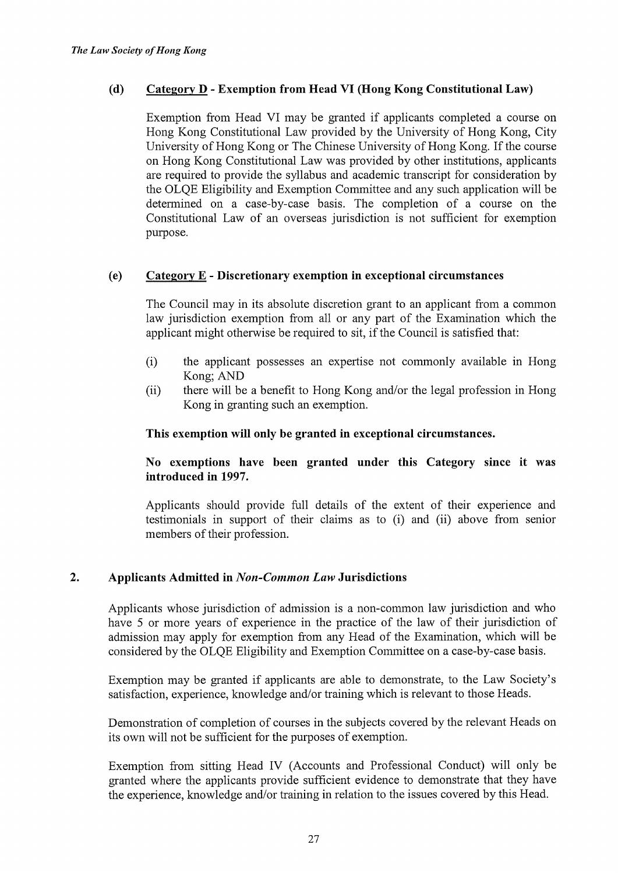## (d) Category D - Exemption from Head VI (Hong Kong Constitutional Law)

Exemption from Head VI may be granted if applicants completed a course on Hong Kong Constitutional Law provided by the University of Hong Kong, City University of Hong Kong or The Chinese University of Hong Kong. If the course on Hong Kong Constitutional Law was provided by other institutions, applicants are required to provide the syllabus and academic transcript for consideration by the OLQE Eligibility and Exemption Committee and any such application will be determined on a case-by-case basis. The completion of a course on the Constitutional Law of an overseas jurisdiction is not sufficient for exemption purpose.

## (e) Category E - Discretionary exemption in exceptional circumstances

The Council may in its absolute discretion grant to an applicant from a common law jurisdiction exemption from all or any part of the Examination which the applicant might otherwise be required to sit, if the Council is satisfied that:

- (i) the applicant possesses an expertise not commonly available in Hong Kong; AND
- (ii) there will be a benefit to Hong Kong and/or the legal profession in Hong Kong in granting such an exemption.

#### This exemption will only be granted in exceptional circumstances.

No exemptions have been granted under this Category since it was introduced in 1997.

Applicants should provide full details of the extent of their experience and testimonials in support of their claims as to (i) and (ii) above from senior members of their profession.

#### 2. Applicants Admitted in Non-Common Law Jurisdictions

Applicants whose jurisdiction of admission is a non-common law jurisdiction and who have 5 or more years of experience in the practice of the law of their jurisdiction of admission may apply for exemption from any Head of the Examination, which will be considered by the OLQE Eligibility and Exemption Committee on a case-by-case basis.

Exemption may be granted if applicants are able to demonstrate, to the Law Society's satisfaction, experience, knowledge and/or training which is relevant to those Heads.

Demonstration of completion of courses in the subjects covered by the relevant Heads on its own will not be sufficient for the purposes of exemption.

Exemption from sitting Head IV (Accounts and Professional Conduct) will only be granted where the applicants provide sufficient evidence to demonstrate that they have the experience, knowledge and/or training in relation to the issues covered by this Head.